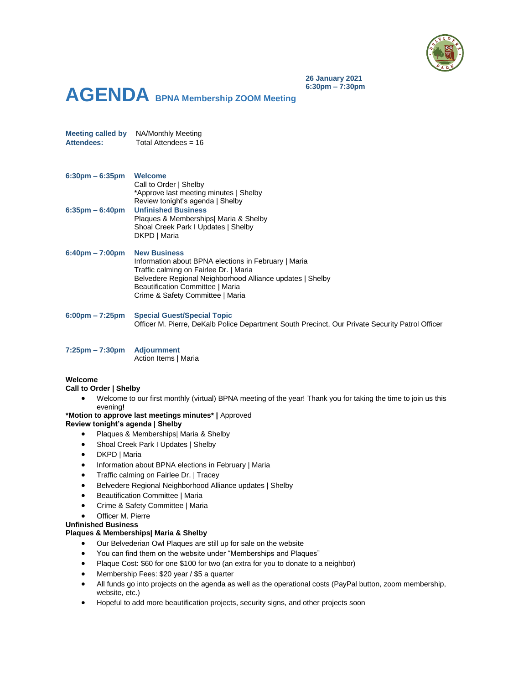

**26 January 2021 6:30pm – 7:30pm**

# **AGENDA BPNA Membership ZOOM Meeting**

**Meeting called by** NA/Monthly Meeting **Attendees:** Total Attendees = 16

| $6:30$ pm $-6:35$ pm  | <b>Welcome</b>                         |
|-----------------------|----------------------------------------|
|                       | Call to Order   Shelby                 |
|                       | *Approve last meeting minutes   Shelby |
|                       | Review tonight's agenda   Shelby       |
| $6:35$ pm – $6:40$ pm | <b>Unfinished Business</b>             |
|                       | Plaques & Memberships  Maria & Shelby  |
|                       | Shoal Creek Park I Updates   Shelby    |
|                       | DKPD   Maria                           |

## **6:40pm – 7:00pm New Business** Information about BPNA elections in February | Maria Traffic calming on Fairlee Dr. | Maria Belvedere Regional Neighborhood Alliance updates | Shelby Beautification Committee | Maria Crime & Safety Committee | Maria

- **6:00pm – 7:25pm Special Guest/Special Topic** Officer M. Pierre, DeKalb Police Department South Precinct, Our Private Security Patrol Officer
- **7:25pm – 7:30pm Adjournment** Action Items | Maria

## **Welcome**

## **Call to Order | Shelby**

 Welcome to our first monthly (virtual) BPNA meeting of the year! Thank you for taking the time to join us this evening**!**

# **\*Motion to approve last meetings minutes\* |** Approved

# **Review tonight's agenda | Shelby**

- Plaques & Memberships| Maria & Shelby
- Shoal Creek Park I Updates | Shelby
- DKPD | Maria
- Information about BPNA elections in February | Maria
- Traffic calming on Fairlee Dr. | Tracey
- Belvedere Regional Neighborhood Alliance updates | Shelby
- Beautification Committee | Maria
- Crime & Safety Committee | Maria
- Officer M. Pierre

## **Unfinished Business**

## **Plaques & Memberships| Maria & Shelby**

- Our Belvederian Owl Plaques are still up for sale on the website
- You can find them on the website under "Memberships and Plaques"
- Plaque Cost: \$60 for one \$100 for two (an extra for you to donate to a neighbor)
- Membership Fees: \$20 year / \$5 a quarter
- All funds go into projects on the agenda as well as the operational costs (PayPal button, zoom membership, website, etc.)
- Hopeful to add more beautification projects, security signs, and other projects soon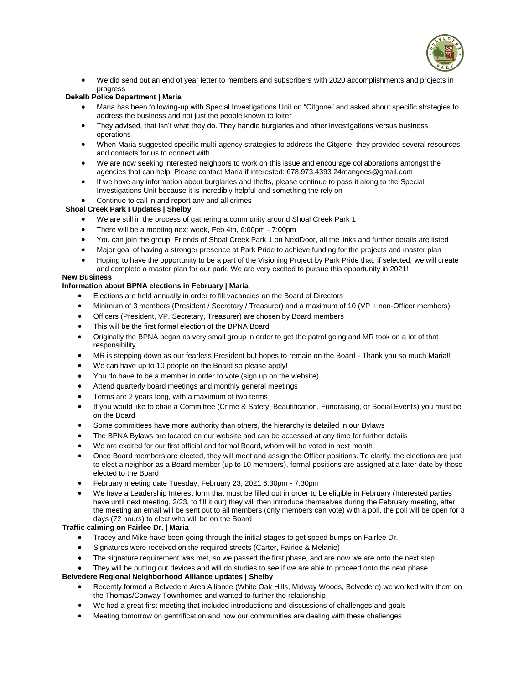

 We did send out an end of year letter to members and subscribers with 2020 accomplishments and projects in progress

## **Dekalb Police Department | Maria**

- Maria has been following-up with Special Investigations Unit on "Citgone" and asked about specific strategies to address the business and not just the people known to loiter
- They advised, that isn't what they do. They handle burglaries and other investigations versus business operations
- When Maria suggested specific multi-agency strategies to address the Citgone, they provided several resources and contacts for us to connect with
- We are now seeking interested neighbors to work on this issue and encourage collaborations amongst the agencies that can help. Please contact Maria if interested: 678.973.4393 24mangoes@gmail.com
- If we have any information about burglaries and thefts, please continue to pass it along to the Special Investigations Unit because it is incredibly helpful and something the rely on

## Continue to call in and report any and all crimes

## **Shoal Creek Park I Updates | Shelby**

- We are still in the process of gathering a community around Shoal Creek Park 1
- There will be a meeting next week, Feb 4th, 6:00pm 7:00pm
- You can join the group: Friends of Shoal Creek Park 1 on NextDoor, all the links and further details are listed
- Major goal of having a stronger presence at Park Pride to achieve funding for the projects and master plan
- Hoping to have the opportunity to be a part of the Visioning Project by Park Pride that, if selected, we will create and complete a master plan for our park. We are very excited to pursue this opportunity in 2021!

# **New Business**

## **Information about BPNA elections in February | Maria**

- Elections are held annually in order to fill vacancies on the Board of Directors
- Minimum of 3 members (President / Secretary / Treasurer) and a maximum of 10 (VP + non-Officer members)
- Officers (President, VP, Secretary, Treasurer) are chosen by Board members
- This will be the first formal election of the BPNA Board
- Originally the BPNA began as very small group in order to get the patrol going and MR took on a lot of that responsibility
- MR is stepping down as our fearless President but hopes to remain on the Board Thank you so much Maria!!
- We can have up to 10 people on the Board so please apply!
- You do have to be a member in order to vote (sign up on the website)
- Attend quarterly board meetings and monthly general meetings
- Terms are 2 years long, with a maximum of two terms
- If you would like to chair a Committee (Crime & Safety, Beautification, Fundraising, or Social Events) you must be on the Board
- Some committees have more authority than others, the hierarchy is detailed in our Bylaws
- The BPNA Bylaws are located on our website and can be accessed at any time for further details
- We are excited for our first official and formal Board, whom will be voted in next month
- Once Board members are elected, they will meet and assign the Officer positions. To clarify, the elections are just to elect a neighbor as a Board member (up to 10 members), formal positions are assigned at a later date by those elected to the Board
- February meeting date Tuesday, February 23, 2021 6:30pm 7:30pm
- We have a Leadership Interest form that must be filled out in order to be eligible in February (Interested parties have until next meeting, 2/23, to fill it out) they will then introduce themselves during the February meeting, after the meeting an email will be sent out to all members (only members can vote) with a poll, the poll will be open for 3 days (72 hours) to elect who will be on the Board

## **Traffic calming on Fairlee Dr. | Maria**

- Tracey and Mike have been going through the initial stages to get speed bumps on Fairlee Dr.
- Signatures were received on the required streets (Carter, Fairlee & Melanie)
- The signature requirement was met, so we passed the first phase, and are now we are onto the next step

They will be putting out devices and will do studies to see if we are able to proceed onto the next phase

## **Belvedere Regional Neighborhood Alliance updates | Shelby**

- Recently formed a Belvedere Area Alliance (White Oak Hills, Midway Woods, Belvedere) we worked with them on the Thomas/Conway Townhomes and wanted to further the relationship
- We had a great first meeting that included introductions and discussions of challenges and goals
- Meeting tomorrow on gentrification and how our communities are dealing with these challenges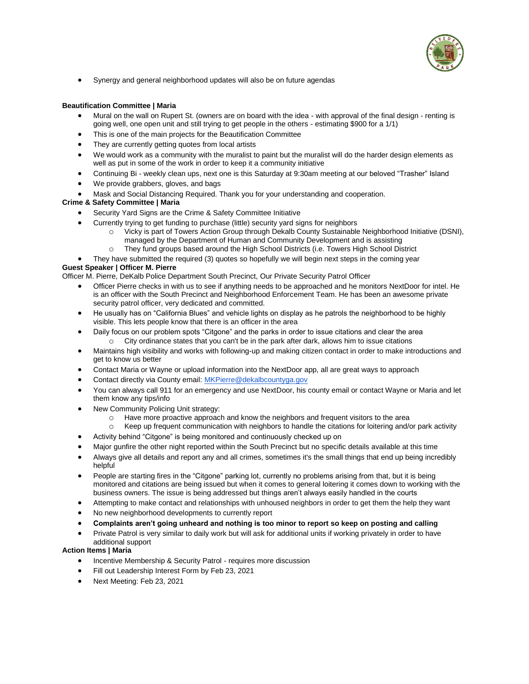

Synergy and general neighborhood updates will also be on future agendas

#### **Beautification Committee | Maria**

- Mural on the wall on Rupert St. (owners are on board with the idea with approval of the final design renting is going well, one open unit and still trying to get people in the others - estimating \$900 for a 1/1)
- This is one of the main projects for the Beautification Committee
- They are currently getting quotes from local artists
- We would work as a community with the muralist to paint but the muralist will do the harder design elements as well as put in some of the work in order to keep it a community initiative
- Continuing Bi weekly clean ups, next one is this Saturday at 9:30am meeting at our beloved "Trasher" Island
- We provide grabbers, gloves, and bags
- Mask and Social Distancing Required. Thank you for your understanding and cooperation.

#### **Crime & Safety Committee | Maria**

- Security Yard Signs are the Crime & Safety Committee Initiative
- Currently trying to get funding to purchase (little) security yard signs for neighbors
	- o Vicky is part of Towers Action Group through Dekalb County Sustainable Neighborhood Initiative (DSNI), managed by the Department of Human and Community Development and is assisting
	- o They fund groups based around the High School Districts (i.e. Towers High School District
	- They have submitted the required (3) quotes so hopefully we will begin next steps in the coming year

#### **Guest Speaker | Officer M. Pierre**

Officer M. Pierre, DeKalb Police Department South Precinct, Our Private Security Patrol Officer

- Officer Pierre checks in with us to see if anything needs to be approached and he monitors NextDoor for intel. He is an officer with the South Precinct and Neighborhood Enforcement Team. He has been an awesome private security patrol officer, very dedicated and committed.
- He usually has on "California Blues" and vehicle lights on display as he patrols the neighborhood to be highly visible. This lets people know that there is an officer in the area
- Daily focus on our problem spots "Citgone" and the parks in order to issue citations and clear the area o City ordinance states that you can't be in the park after dark, allows him to issue citations
- Maintains high visibility and works with following-up and making citizen contact in order to make introductions and get to know us better
- Contact Maria or Wayne or upload information into the NextDoor app, all are great ways to approach
- Contact directly via County email[: MKPierre@dekalbcountyga.gov](mailto:MKPierre@dekalbcountyga.gov)
- You can always call 911 for an emergency and use NextDoor, his county email or contact Wayne or Maria and let them know any tips/info
- New Community Policing Unit strategy:
	- o Have more proactive approach and know the neighbors and frequent visitors to the area
	- o Keep up frequent communication with neighbors to handle the citations for loitering and/or park activity
- Activity behind "Citgone" is being monitored and continuously checked up on
- Major gunfire the other night reported within the South Precinct but no specific details available at this time
- Always give all details and report any and all crimes, sometimes it's the small things that end up being incredibly helpful
- People are starting fires in the "Citgone" parking lot, currently no problems arising from that, but it is being monitored and citations are being issued but when it comes to general loitering it comes down to working with the business owners. The issue is being addressed but things aren't always easily handled in the courts
- Attempting to make contact and relationships with unhoused neighbors in order to get them the help they want
- No new neighborhood developments to currently report
- **Complaints aren't going unheard and nothing is too minor to report so keep on posting and calling**
- Private Patrol is very similar to daily work but will ask for additional units if working privately in order to have additional support

**Action Items | Maria**

- Incentive Membership & Security Patrol requires more discussion
- Fill out Leadership Interest Form by Feb 23, 2021
- Next Meeting: Feb 23, 2021